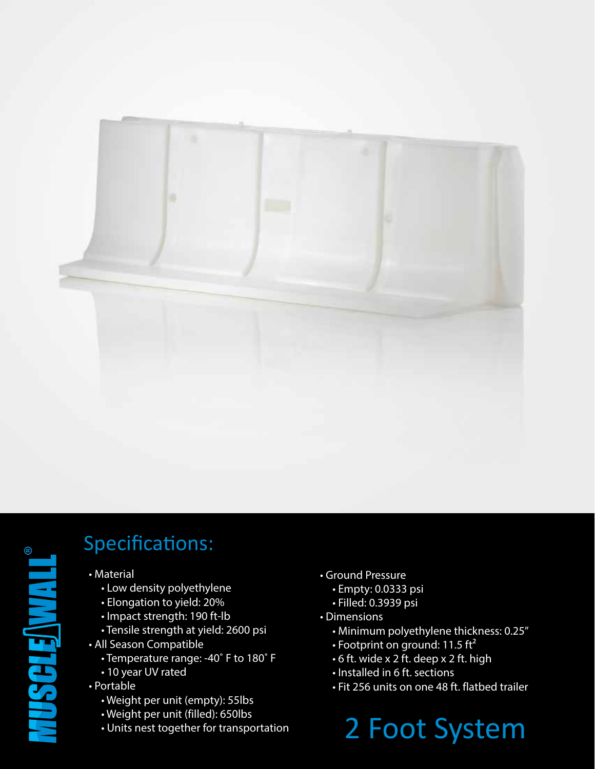



## Specifications:

- Material
	- Low density polyethylene
	- Elongation to yield: 20%
	- Impact strength: 190 ft-lb
	- Tensile strength at yield: 2600 psi
- All Season Compatible
	- Temperature range: -40˚ F to 180˚ F
	- 10 year UV rated
- Portable
	- Weight per unit (empty): 55lbs
	- Weight per unit (filled): 650lbs
	- Units nest together for transportation
- Ground Pressure
	- Empty: 0.0333 psi
	- Filled: 0.3939 psi
- Dimensions
	- Minimum polyethylene thickness: 0.25"
	- Footprint on ground: 11.5  $\text{ft}^2$
	- 6 ft. wide x 2 ft. deep x 2 ft. high
	- Installed in 6 ft. sections
	- Fit 256 units on one 48 ft. flatbed trailer

## 2 Foot System